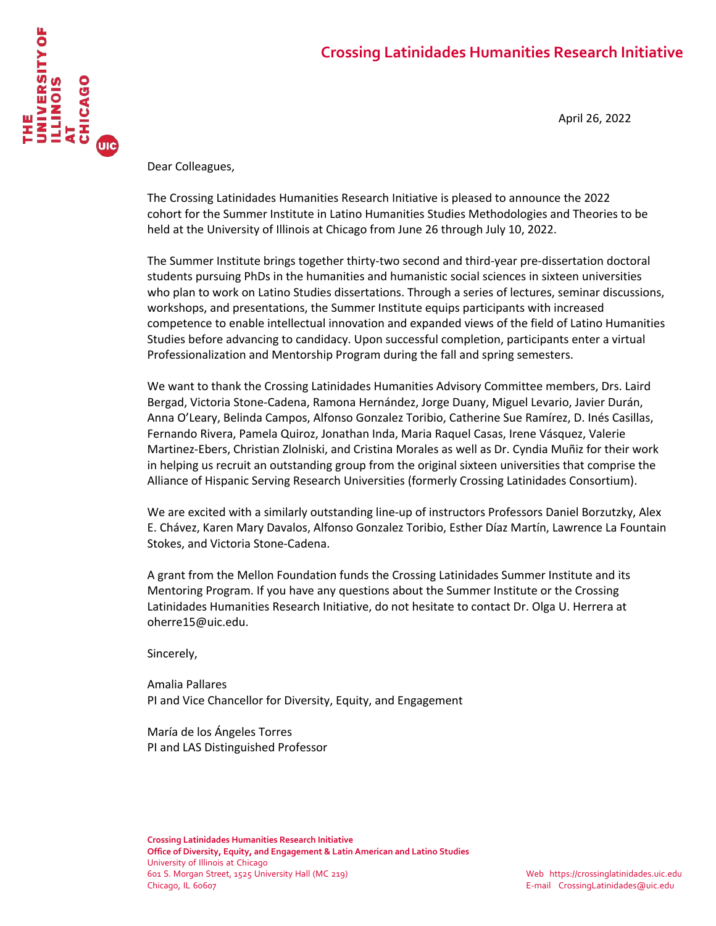# **Crossing Latinidades Humanities Research Initiative**



April 26, 2022

Dear Colleagues,

The Crossing Latinidades Humanities Research Initiative is pleased to announce the 2022 cohort for the Summer Institute in Latino Humanities Studies Methodologies and Theories to be held at the University of Illinois at Chicago from June 26 through July 10, 2022.

The Summer Institute brings together thirty-two second and third-year pre-dissertation doctoral students pursuing PhDs in the humanities and humanistic social sciences in sixteen universities who plan to work on Latino Studies dissertations. Through a series of lectures, seminar discussions, workshops, and presentations, the Summer Institute equips participants with increased competence to enable intellectual innovation and expanded views of the field of Latino Humanities Studies before advancing to candidacy. Upon successful completion, participants enter a virtual Professionalization and Mentorship Program during the fall and spring semesters.

We want to thank the Crossing Latinidades Humanities Advisory Committee members, Drs. Laird Bergad, Victoria Stone-Cadena, Ramona Hernández, Jorge Duany, Miguel Levario, Javier Durán, Anna O'Leary, Belinda Campos, Alfonso Gonzalez Toribio, Catherine Sue Ramírez, D. Inés Casillas, Fernando Rivera, Pamela Quiroz, Jonathan Inda, Maria Raquel Casas, Irene Vásquez, Valerie Martinez-Ebers, Christian Zlolniski, and Cristina Morales as well as Dr. Cyndia Muñiz for their work in helping us recruit an outstanding group from the original sixteen universities that comprise the Alliance of Hispanic Serving Research Universities (formerly Crossing Latinidades Consortium).

We are excited with a similarly outstanding line-up of instructors Professors Daniel Borzutzky, Alex E. Chávez, Karen Mary Davalos, Alfonso Gonzalez Toribio, Esther Díaz Martín, Lawrence La Fountain Stokes, and Victoria Stone-Cadena.

A grant from the Mellon Foundation funds the Crossing Latinidades Summer Institute and its Mentoring Program. If you have any questions about the Summer Institute or the Crossing Latinidades Humanities Research Initiative, do not hesitate to contact Dr. Olga U. Herrera at oherre15@uic.edu.

Sincerely,

Amalia Pallares PI and Vice Chancellor for Diversity, Equity, and Engagement

María de los Ángeles Torres PI and LAS Distinguished Professor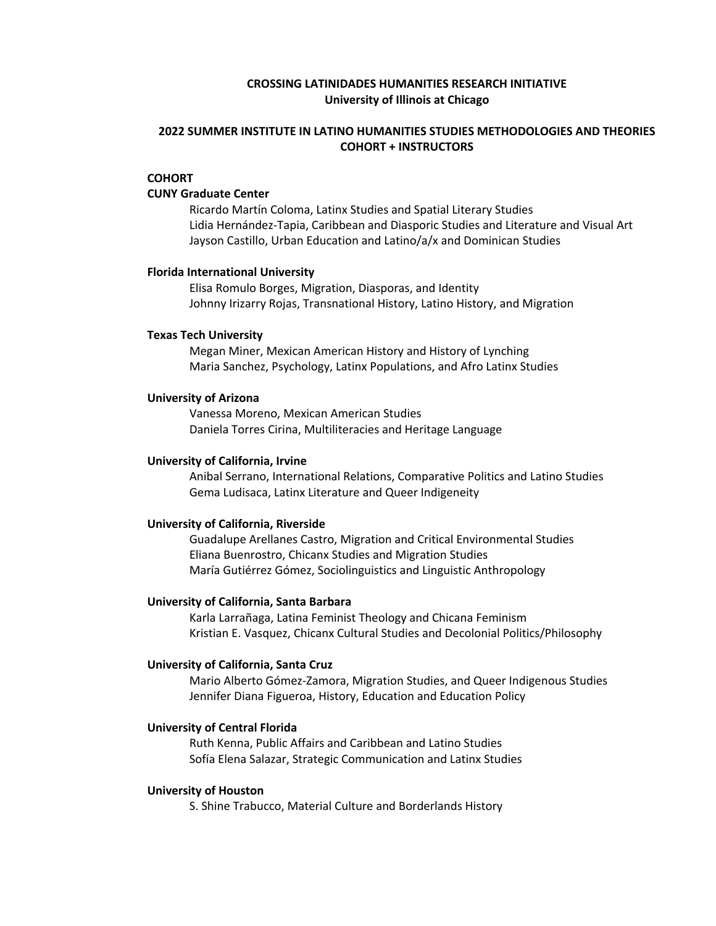## **CROSSING LATINIDADES HUMANITIES RESEARCH INITIATIVE University of Illinois at Chicago**

## **2022 SUMMER INSTITUTE IN LATINO HUMANITIES STUDIES METHODOLOGIES AND THEORIES COHORT + INSTRUCTORS**

### **COHORT**

#### **CUNY Graduate Center**

Ricardo Martín Coloma, Latinx Studies and Spatial Literary Studies Lidia Hernández-Tapia, Caribbean and Diasporic Studies and Literature and Visual Art Jayson Castillo, Urban Education and Latino/a/x and Dominican Studies

#### **Florida International University**

Elisa Romulo Borges, Migration, Diasporas, and Identity Johnny Irizarry Rojas, Transnational History, Latino History, and Migration

#### **Texas Tech University**

Megan Miner, Mexican American History and History of Lynching Maria Sanchez, Psychology, Latinx Populations, and Afro Latinx Studies

#### **University of Arizona**

Vanessa Moreno, Mexican American Studies Daniela Torres Cirina, Multiliteracies and Heritage Language

#### **University of California, Irvine**

Anibal Serrano, International Relations, Comparative Politics and Latino Studies Gema Ludisaca, Latinx Literature and Queer Indigeneity

#### **University of California, Riverside**

Guadalupe Arellanes Castro, Migration and Critical Environmental Studies Eliana Buenrostro, Chicanx Studies and Migration Studies María Gutiérrez Gómez, Sociolinguistics and Linguistic Anthropology

#### **University of California, Santa Barbara**

Karla Larrañaga, Latina Feminist Theology and Chicana Feminism Kristian E. Vasquez, Chicanx Cultural Studies and Decolonial Politics/Philosophy

#### **University of California, Santa Cruz**

Mario Alberto Gómez-Zamora, Migration Studies, and Queer Indigenous Studies Jennifer Diana Figueroa, History, Education and Education Policy

#### **University of Central Florida**

Ruth Kenna, Public Affairs and Caribbean and Latino Studies Sofía Elena Salazar, Strategic Communication and Latinx Studies

#### **University of Houston**

S. Shine Trabucco, Material Culture and Borderlands History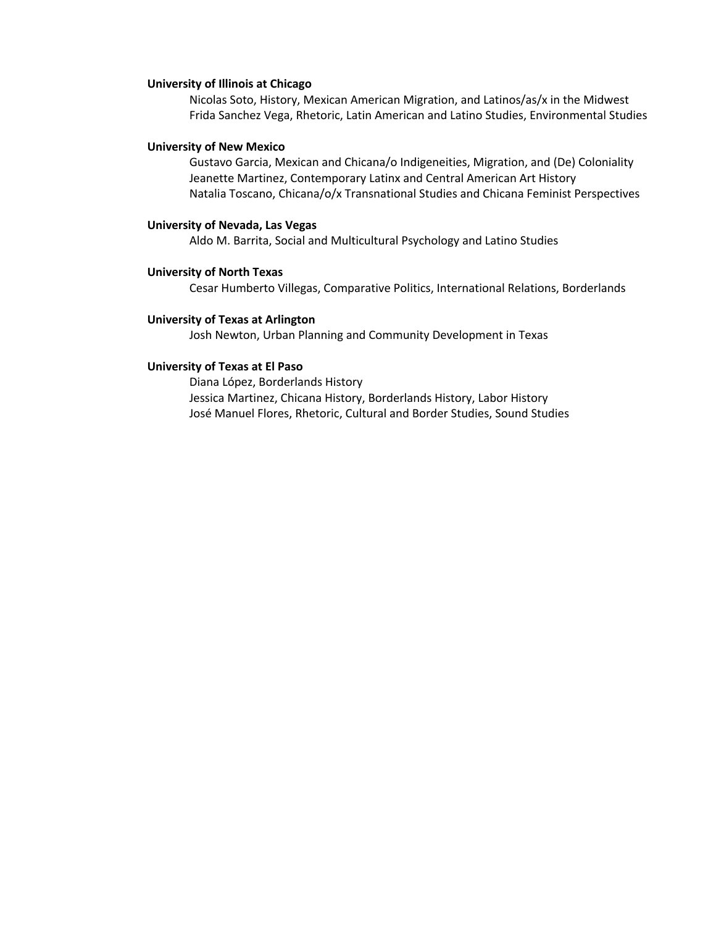#### **University of Illinois at Chicago**

Nicolas Soto, History, Mexican American Migration, and Latinos/as/x in the Midwest Frida Sanchez Vega, Rhetoric, Latin American and Latino Studies, Environmental Studies

#### **University of New Mexico**

Gustavo Garcia, Mexican and Chicana/o Indigeneities, Migration, and (De) Coloniality Jeanette Martinez, Contemporary Latinx and Central American Art History Natalia Toscano, Chicana/o/x Transnational Studies and Chicana Feminist Perspectives

#### **University of Nevada, Las Vegas**

Aldo M. Barrita, Social and Multicultural Psychology and Latino Studies

#### **University of North Texas**

Cesar Humberto Villegas, Comparative Politics, International Relations, Borderlands

#### **University of Texas at Arlington**

Josh Newton, Urban Planning and Community Development in Texas

#### **University of Texas at El Paso**

Diana López, Borderlands History Jessica Martinez, Chicana History, Borderlands History, Labor History José Manuel Flores, Rhetoric, Cultural and Border Studies, Sound Studies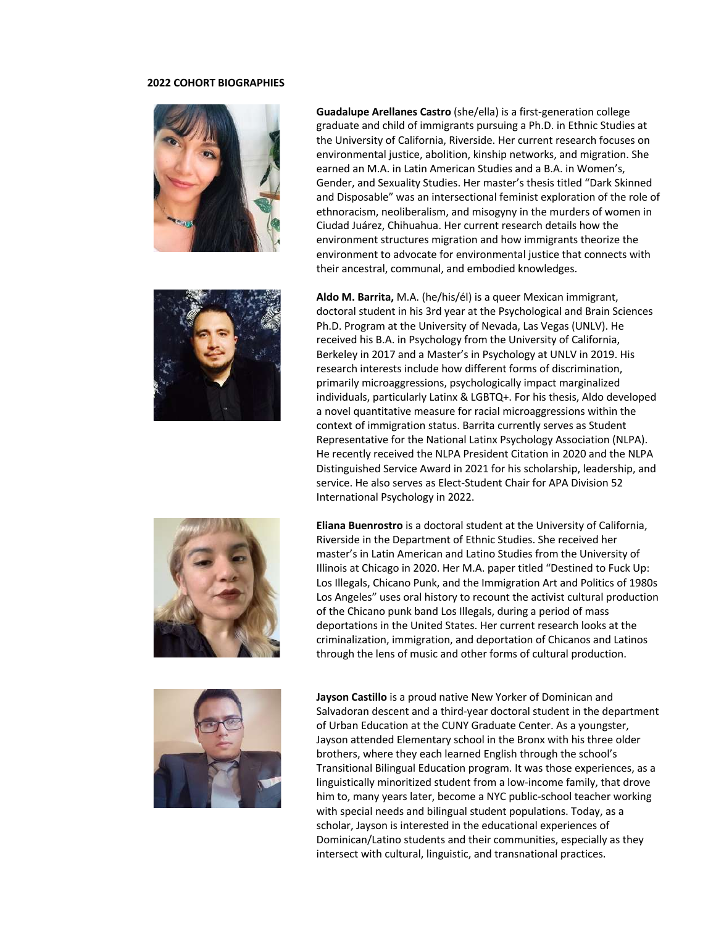#### **2022 COHORT BIOGRAPHIES**









**Guadalupe Arellanes Castro** (she/ella) is a first-generation college graduate and child of immigrants pursuing a Ph.D. in Ethnic Studies at the University of California, Riverside. Her current research focuses on environmental justice, abolition, kinship networks, and migration. She earned an M.A. in Latin American Studies and a B.A. in Women's, Gender, and Sexuality Studies. Her master's thesis titled "Dark Skinned and Disposable" was an intersectional feminist exploration of the role of ethnoracism, neoliberalism, and misogyny in the murders of women in Ciudad Juárez, Chihuahua. Her current research details how the environment structures migration and how immigrants theorize the environment to advocate for environmental justice that connects with their ancestral, communal, and embodied knowledges.

**Aldo M. Barrita,** M.A. (he/his/él) is a queer Mexican immigrant, doctoral student in his 3rd year at the Psychological and Brain Sciences Ph.D. Program at the University of Nevada, Las Vegas (UNLV). He received his B.A. in Psychology from the University of California, Berkeley in 2017 and a Master's in Psychology at UNLV in 2019. His research interests include how different forms of discrimination, primarily microaggressions, psychologically impact marginalized individuals, particularly Latinx & LGBTQ+. For his thesis, Aldo developed a novel quantitative measure for racial microaggressions within the context of immigration status. Barrita currently serves as Student Representative for the National Latinx Psychology Association (NLPA). He recently received the NLPA President Citation in 2020 and the NLPA Distinguished Service Award in 2021 for his scholarship, leadership, and service. He also serves as Elect-Student Chair for APA Division 52 International Psychology in 2022.

**Eliana Buenrostro** is a doctoral student at the University of California, Riverside in the Department of Ethnic Studies. She received her master's in Latin American and Latino Studies from the University of Illinois at Chicago in 2020. Her M.A. paper titled "Destined to Fuck Up: Los Illegals, Chicano Punk, and the Immigration Art and Politics of 1980s Los Angeles" uses oral history to recount the activist cultural production of the Chicano punk band Los Illegals, during a period of mass deportations in the United States. Her current research looks at the criminalization, immigration, and deportation of Chicanos and Latinos through the lens of music and other forms of cultural production.

**Jayson Castillo** is a proud native New Yorker of Dominican and Salvadoran descent and a third-year doctoral student in the department of Urban Education at the CUNY Graduate Center. As a youngster, Jayson attended Elementary school in the Bronx with his three older brothers, where they each learned English through the school's Transitional Bilingual Education program. It was those experiences, as a linguistically minoritized student from a low-income family, that drove him to, many years later, become a NYC public-school teacher working with special needs and bilingual student populations. Today, as a scholar, Jayson is interested in the educational experiences of Dominican/Latino students and their communities, especially as they intersect with cultural, linguistic, and transnational practices.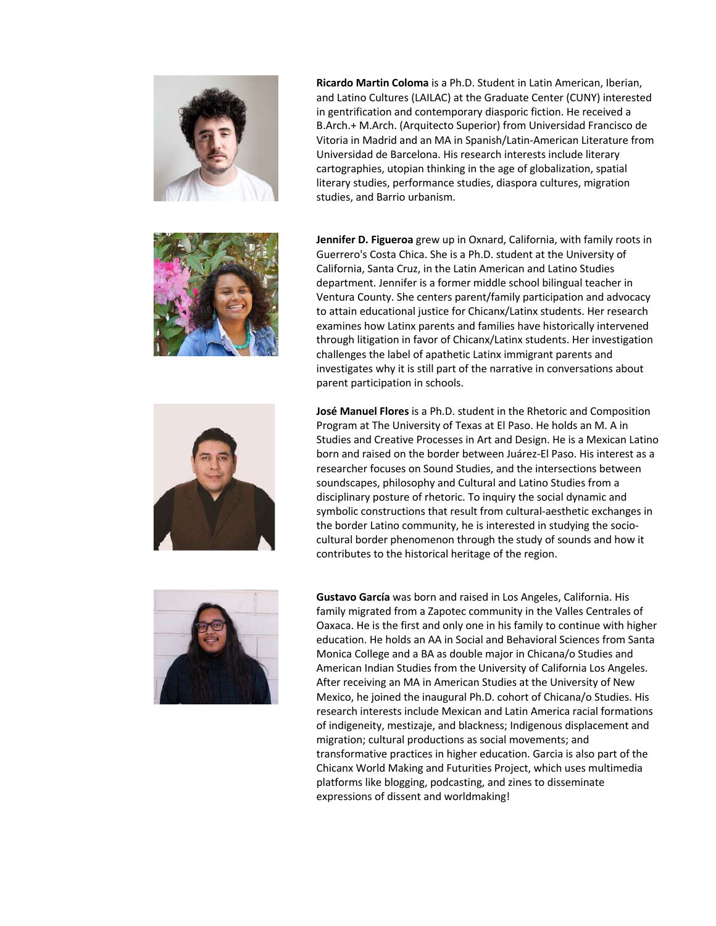







**Ricardo Martin Coloma** is a Ph.D. Student in Latin American, Iberian, and Latino Cultures (LAILAC) at the Graduate Center (CUNY) interested in gentrification and contemporary diasporic fiction. He received a B.Arch.+ M.Arch. (Arquitecto Superior) from Universidad Francisco de Vitoria in Madrid and an MA in Spanish/Latin-American Literature from Universidad de Barcelona. His research interests include literary cartographies, utopian thinking in the age of globalization, spatial literary studies, performance studies, diaspora cultures, migration studies, and Barrio urbanism.

**Jennifer D. Figueroa** grew up in Oxnard, California, with family roots in Guerrero's Costa Chica. She is a Ph.D. student at the University of California, Santa Cruz, in the Latin American and Latino Studies department. Jennifer is a former middle school bilingual teacher in Ventura County. She centers parent/family participation and advocacy to attain educational justice for Chicanx/Latinx students. Her research examines how Latinx parents and families have historically intervened through litigation in favor of Chicanx/Latinx students. Her investigation challenges the label of apathetic Latinx immigrant parents and investigates why it is still part of the narrative in conversations about parent participation in schools.

**José Manuel Flores** is a Ph.D. student in the Rhetoric and Composition Program at The University of Texas at El Paso. He holds an M. A in Studies and Creative Processes in Art and Design. He is a Mexican Latino born and raised on the border between Juárez-El Paso. His interest as a researcher focuses on Sound Studies, and the intersections between soundscapes, philosophy and Cultural and Latino Studies from a disciplinary posture of rhetoric. To inquiry the social dynamic and symbolic constructions that result from cultural-aesthetic exchanges in the border Latino community, he is interested in studying the sociocultural border phenomenon through the study of sounds and how it contributes to the historical heritage of the region.

**Gustavo García** was born and raised in Los Angeles, California. His family migrated from a Zapotec community in the Valles Centrales of Oaxaca. He is the first and only one in his family to continue with higher education. He holds an AA in Social and Behavioral Sciences from Santa Monica College and a BA as double major in Chicana/o Studies and American Indian Studies from the University of California Los Angeles. After receiving an MA in American Studies at the University of New Mexico, he joined the inaugural Ph.D. cohort of Chicana/o Studies. His research interests include Mexican and Latin America racial formations of indigeneity, mestizaje, and blackness; Indigenous displacement and migration; cultural productions as social movements; and transformative practices in higher education. Garcia is also part of the Chicanx World Making and Futurities Project, which uses multimedia platforms like blogging, podcasting, and zines to disseminate expressions of dissent and worldmaking!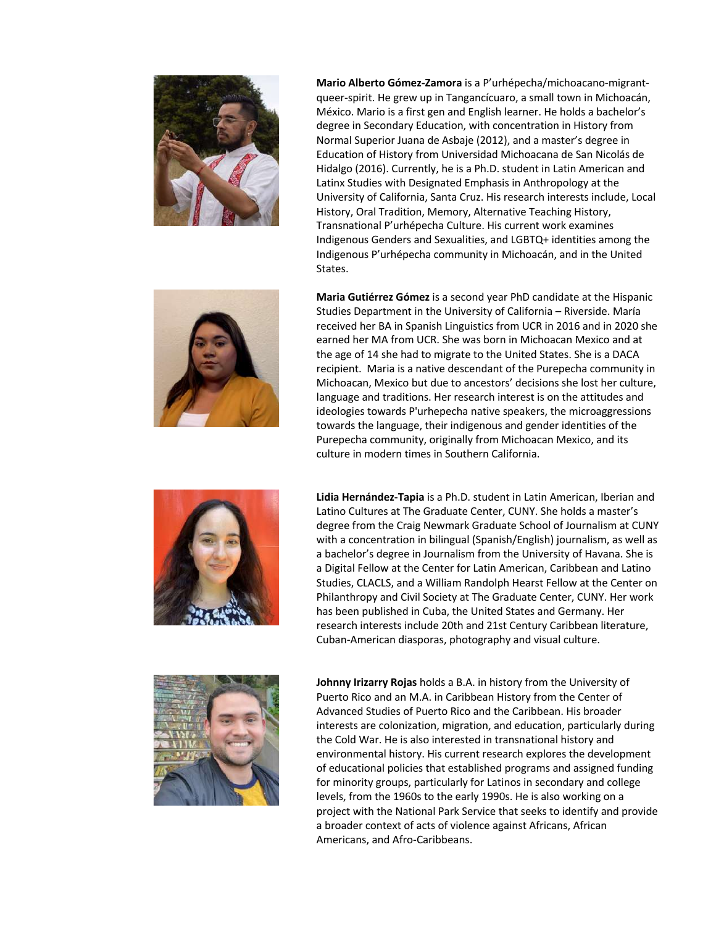



**Maria Gutiérrez Gómez** is a second year PhD candidate at the Hispanic Studies Department in the University of California – Riverside. María received her BA in Spanish Linguistics from UCR in 2016 and in 2020 she earned her MA from UCR. She was born in Michoacan Mexico and at the age of 14 she had to migrate to the United States. She is a DACA recipient. Maria is a native descendant of the Purepecha community in Michoacan, Mexico but due to ancestors' decisions she lost her culture, language and traditions. Her research interest is on the attitudes and ideologies towards P'urhepecha native speakers, the microaggressions towards the language, their indigenous and gender identities of the Purepecha community, originally from Michoacan Mexico, and its culture in modern times in Southern California.



**Lidia Hernández-Tapia** is a Ph.D. student in Latin American, Iberian and Latino Cultures at The Graduate Center, CUNY. She holds a master's degree from the Craig Newmark Graduate School of Journalism at CUNY with a concentration in bilingual (Spanish/English) journalism, as well as a bachelor's degree in Journalism from the University of Havana. She is a Digital Fellow at the Center for Latin American, Caribbean and Latino Studies, CLACLS, and a William Randolph Hearst Fellow at the Center on Philanthropy and Civil Society at The Graduate Center, CUNY. Her work has been published in Cuba, the United States and Germany. Her research interests include 20th and 21st Century Caribbean literature, Cuban-American diasporas, photography and visual culture.



**Johnny Irizarry Rojas** holds a B.A. in history from the University of Puerto Rico and an M.A. in Caribbean History from the Center of Advanced Studies of Puerto Rico and the Caribbean. His broader interests are colonization, migration, and education, particularly during the Cold War. He is also interested in transnational history and environmental history. His current research explores the development of educational policies that established programs and assigned funding for minority groups, particularly for Latinos in secondary and college levels, from the 1960s to the early 1990s. He is also working on a project with the National Park Service that seeks to identify and provide a broader context of acts of violence against Africans, African Americans, and Afro-Caribbeans.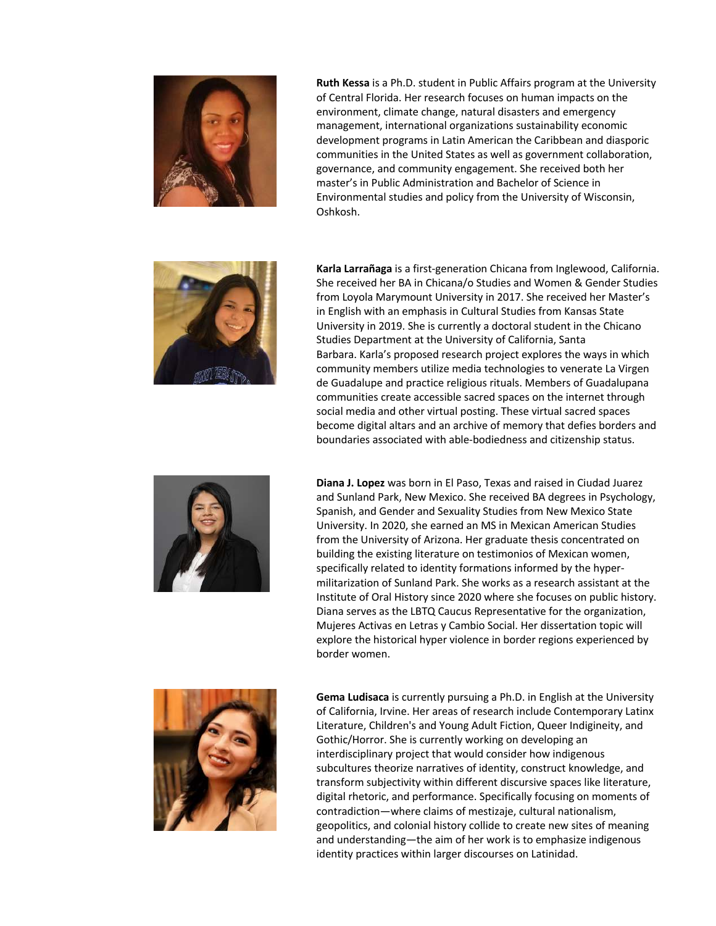

**Ruth Kessa** is a Ph.D. student in Public Affairs program at the University of Central Florida. Her research focuses on human impacts on the environment, climate change, natural disasters and emergency management, international organizations sustainability economic development programs in Latin American the Caribbean and diasporic communities in the United States as well as government collaboration, governance, and community engagement. She received both her master's in Public Administration and Bachelor of Science in Environmental studies and policy from the University of Wisconsin, Oshkosh.



**Karla Larrañaga** is a first-generation Chicana from Inglewood, California. She received her BA in Chicana/o Studies and Women & Gender Studies from Loyola Marymount University in 2017. She received her Master's in English with an emphasis in Cultural Studies from Kansas State University in 2019. She is currently a doctoral student in the Chicano Studies Department at the University of California, Santa Barbara. Karla's proposed research project explores the ways in which community members utilize media technologies to venerate La Virgen de Guadalupe and practice religious rituals. Members of Guadalupana communities create accessible sacred spaces on the internet through social media and other virtual posting. These virtual sacred spaces become digital altars and an archive of memory that defies borders and boundaries associated with able-bodiedness and citizenship status.



**Diana J. Lopez** was born in El Paso, Texas and raised in Ciudad Juarez and Sunland Park, New Mexico. She received BA degrees in Psychology, Spanish, and Gender and Sexuality Studies from New Mexico State University. In 2020, she earned an MS in Mexican American Studies from the University of Arizona. Her graduate thesis concentrated on building the existing literature on testimonios of Mexican women, specifically related to identity formations informed by the hypermilitarization of Sunland Park. She works as a research assistant at the Institute of Oral History since 2020 where she focuses on public history. Diana serves as the LBTQ Caucus Representative for the organization, Mujeres Activas en Letras y Cambio Social. Her dissertation topic will explore the historical hyper violence in border regions experienced by border women.



**Gema Ludisaca** is currently pursuing a Ph.D. in English at the University of California, Irvine. Her areas of research include Contemporary Latinx Literature, Children's and Young Adult Fiction, Queer Indigineity, and Gothic/Horror. She is currently working on developing an interdisciplinary project that would consider how indigenous subcultures theorize narratives of identity, construct knowledge, and transform subjectivity within different discursive spaces like literature, digital rhetoric, and performance. Specifically focusing on moments of contradiction—where claims of mestizaje, cultural nationalism, geopolitics, and colonial history collide to create new sites of meaning and understanding—the aim of her work is to emphasize indigenous identity practices within larger discourses on Latinidad.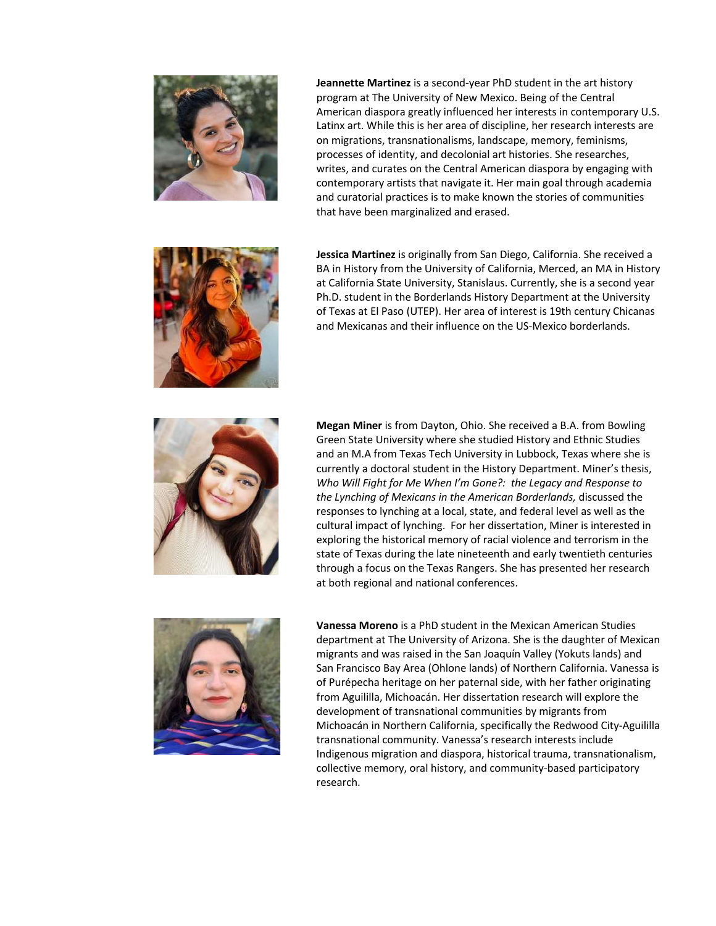

**Jeannette Martinez** is a second-year PhD student in the art history program at The University of New Mexico. Being of the Central American diaspora greatly influenced her interests in contemporary U.S. Latinx art. While this is her area of discipline, her research interests are on migrations, transnationalisms, landscape, memory, feminisms, processes of identity, and decolonial art histories. She researches, writes, and curates on the Central American diaspora by engaging with contemporary artists that navigate it. Her main goal through academia and curatorial practices is to make known the stories of communities that have been marginalized and erased.



**Jessica Martinez** is originally from San Diego, California. She received a BA in History from the University of California, Merced, an MA in History at California State University, Stanislaus. Currently, she is a second year Ph.D. student in the Borderlands History Department at the University of Texas at El Paso (UTEP). Her area of interest is 19th century Chicanas and Mexicanas and their influence on the US-Mexico borderlands.



**Megan Miner** is from Dayton, Ohio. She received a B.A. from Bowling Green State University where she studied History and Ethnic Studies and an M.A from Texas Tech University in Lubbock, Texas where she is currently a doctoral student in the History Department. Miner's thesis, *Who Will Fight for Me When I'm Gone?: the Legacy and Response to the Lynching of Mexicans in the American Borderlands,* discussed the responses to lynching at a local, state, and federal level as well as the cultural impact of lynching. For her dissertation, Miner is interested in exploring the historical memory of racial violence and terrorism in the state of Texas during the late nineteenth and early twentieth centuries through a focus on the Texas Rangers. She has presented her research at both regional and national conferences.



**Vanessa Moreno** is a PhD student in the Mexican American Studies department at The University of Arizona. She is the daughter of Mexican migrants and was raised in the San Joaquín Valley (Yokuts lands) and San Francisco Bay Area (Ohlone lands) of Northern California. Vanessa is of Purépecha heritage on her paternal side, with her father originating from Aguililla, Michoacán. Her dissertation research will explore the development of transnational communities by migrants from Michoacán in Northern California, specifically the Redwood City-Aguililla transnational community. Vanessa's research interests include Indigenous migration and diaspora, historical trauma, transnationalism, collective memory, oral history, and community-based participatory research.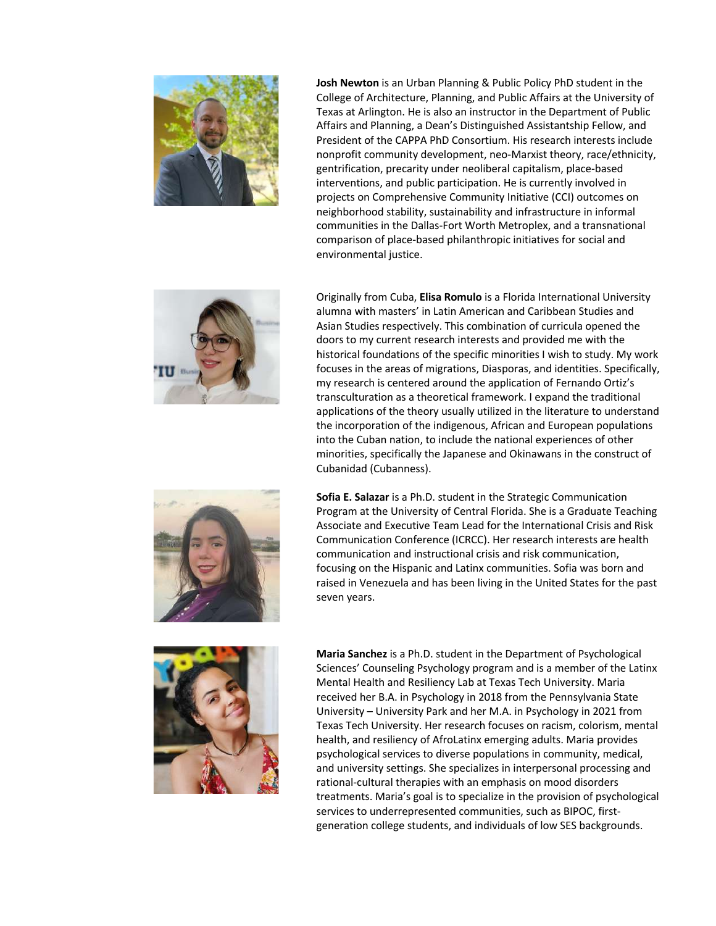

**Josh Newton** is an Urban Planning & Public Policy PhD student in the College of Architecture, Planning, and Public Affairs at the University of Texas at Arlington. He is also an instructor in the Department of Public Affairs and Planning, a Dean's Distinguished Assistantship Fellow, and President of the CAPPA PhD Consortium. His research interests include nonprofit community development, neo-Marxist theory, race/ethnicity, gentrification, precarity under neoliberal capitalism, place-based interventions, and public participation. He is currently involved in projects on Comprehensive Community Initiative (CCI) outcomes on neighborhood stability, sustainability and infrastructure in informal communities in the Dallas-Fort Worth Metroplex, and a transnational comparison of place-based philanthropic initiatives for social and environmental justice.



Originally from Cuba, **Elisa Romulo** is a Florida International University alumna with masters' in Latin American and Caribbean Studies and Asian Studies respectively. This combination of curricula opened the doors to my current research interests and provided me with the historical foundations of the specific minorities I wish to study. My work focuses in the areas of migrations, Diasporas, and identities. Specifically, my research is centered around the application of Fernando Ortiz's transculturation as a theoretical framework. I expand the traditional applications of the theory usually utilized in the literature to understand the incorporation of the indigenous, African and European populations into the Cuban nation, to include the national experiences of other minorities, specifically the Japanese and Okinawans in the construct of Cubanidad (Cubanness).

**Sofia E. Salazar** is a Ph.D. student in the Strategic Communication Program at the University of Central Florida. She is a Graduate Teaching Associate and Executive Team Lead for the International Crisis and Risk Communication Conference (ICRCC). Her research interests are health communication and instructional crisis and risk communication, focusing on the Hispanic and Latinx communities. Sofia was born and raised in Venezuela and has been living in the United States for the past seven years.



**Maria Sanchez** is a Ph.D. student in the Department of Psychological Sciences' Counseling Psychology program and is a member of the Latinx Mental Health and Resiliency Lab at Texas Tech University. Maria received her B.A. in Psychology in 2018 from the Pennsylvania State University – University Park and her M.A. in Psychology in 2021 from Texas Tech University. Her research focuses on racism, colorism, mental health, and resiliency of AfroLatinx emerging adults. Maria provides psychological services to diverse populations in community, medical, and university settings. She specializes in interpersonal processing and rational-cultural therapies with an emphasis on mood disorders treatments. Maria's goal is to specialize in the provision of psychological services to underrepresented communities, such as BIPOC, firstgeneration college students, and individuals of low SES backgrounds.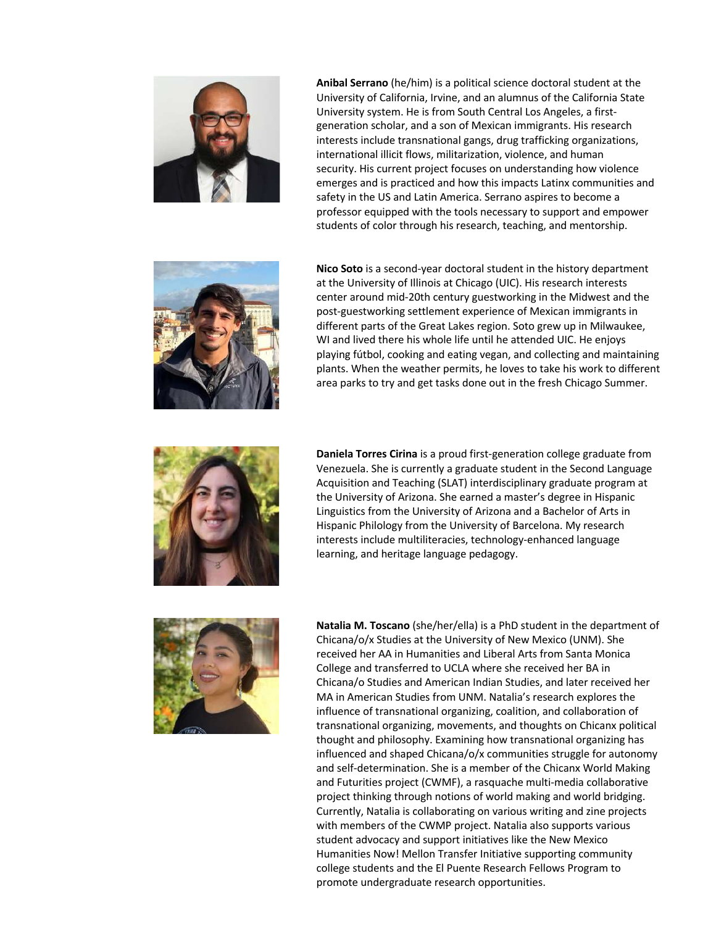

**Anibal Serrano** (he/him) is a political science doctoral student at the University of California, Irvine, and an alumnus of the California State University system. He is from South Central Los Angeles, a firstgeneration scholar, and a son of Mexican immigrants. His research interests include transnational gangs, drug trafficking organizations, international illicit flows, militarization, violence, and human security. His current project focuses on understanding how violence emerges and is practiced and how this impacts Latinx communities and safety in the US and Latin America. Serrano aspires to become a professor equipped with the tools necessary to support and empower students of color through his research, teaching, and mentorship.



**Nico Soto** is a second-year doctoral student in the history department at the University of Illinois at Chicago (UIC). His research interests center around mid-20th century guestworking in the Midwest and the post-guestworking settlement experience of Mexican immigrants in different parts of the Great Lakes region. Soto grew up in Milwaukee, WI and lived there his whole life until he attended UIC. He enjoys playing fútbol, cooking and eating vegan, and collecting and maintaining plants. When the weather permits, he loves to take his work to different area parks to try and get tasks done out in the fresh Chicago Summer.



**Daniela Torres Cirina** is a proud first-generation college graduate from Venezuela. She is currently a graduate student in the Second Language Acquisition and Teaching (SLAT) interdisciplinary graduate program at the University of Arizona. She earned a master's degree in Hispanic Linguistics from the University of Arizona and a Bachelor of Arts in Hispanic Philology from the University of Barcelona. My research interests include multiliteracies, technology-enhanced language learning, and heritage language pedagogy.



**Natalia M. Toscano** (she/her/ella) is a PhD student in the department of Chicana/o/x Studies at the University of New Mexico (UNM). She received her AA in Humanities and Liberal Arts from Santa Monica College and transferred to UCLA where she received her BA in Chicana/o Studies and American Indian Studies, and later received her MA in American Studies from UNM. Natalia's research explores the influence of transnational organizing, coalition, and collaboration of transnational organizing, movements, and thoughts on Chicanx political thought and philosophy. Examining how transnational organizing has influenced and shaped Chicana/o/x communities struggle for autonomy and self-determination. She is a member of the Chicanx World Making and Futurities project (CWMF), a rasquache multi-media collaborative project thinking through notions of world making and world bridging. Currently, Natalia is collaborating on various writing and zine projects with members of the CWMP project. Natalia also supports various student advocacy and support initiatives like the New Mexico Humanities Now! Mellon Transfer Initiative supporting community college students and the El Puente Research Fellows Program to promote undergraduate research opportunities.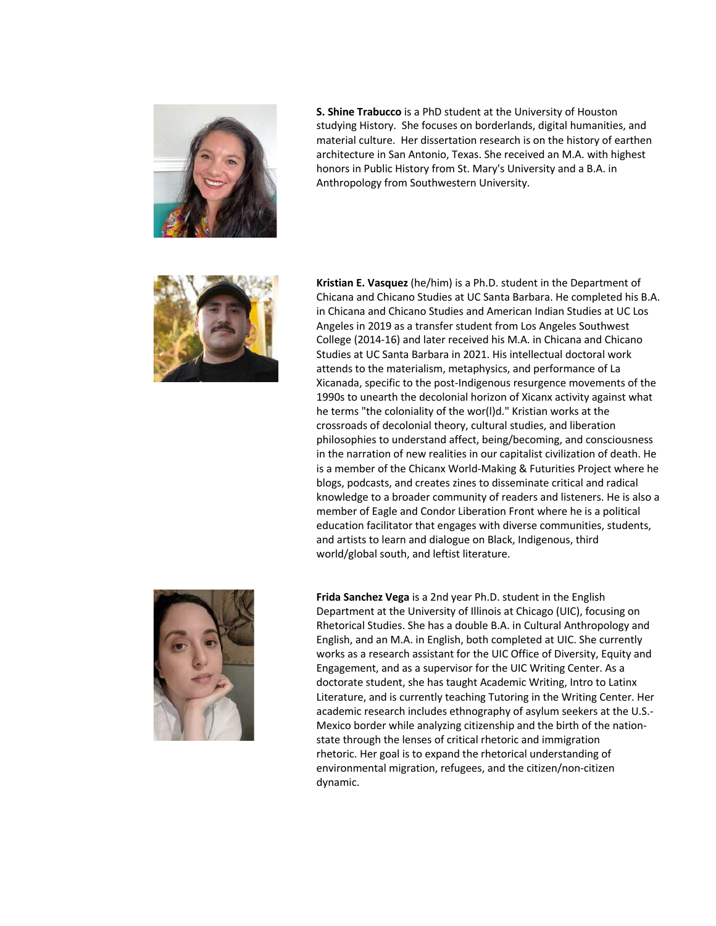

**S. Shine Trabucco** is a PhD student at the University of Houston studying History. She focuses on borderlands, digital humanities, and material culture. Her dissertation research is on the history of earthen architecture in San Antonio, Texas. She received an M.A. with highest honors in Public History from St. Mary's University and a B.A. in Anthropology from Southwestern University.



**Kristian E. Vasquez** (he/him) is a Ph.D. student in the Department of Chicana and Chicano Studies at UC Santa Barbara. He completed his B.A. in Chicana and Chicano Studies and American Indian Studies at UC Los Angeles in 2019 as a transfer student from Los Angeles Southwest College (2014-16) and later received his M.A. in Chicana and Chicano Studies at UC Santa Barbara in 2021. His intellectual doctoral work attends to the materialism, metaphysics, and performance of La Xicanada, specific to the post-Indigenous resurgence movements of the 1990s to unearth the decolonial horizon of Xicanx activity against what he terms "the coloniality of the wor(l)d." Kristian works at the crossroads of decolonial theory, cultural studies, and liberation philosophies to understand affect, being/becoming, and consciousness in the narration of new realities in our capitalist civilization of death. He is a member of the Chicanx World-Making & Futurities Project where he blogs, podcasts, and creates zines to disseminate critical and radical knowledge to a broader community of readers and listeners. He is also a member of Eagle and Condor Liberation Front where he is a political education facilitator that engages with diverse communities, students, and artists to learn and dialogue on Black, Indigenous, third world/global south, and leftist literature.



**Frida Sanchez Vega** is a 2nd year Ph.D. student in the English Department at the University of Illinois at Chicago (UIC), focusing on Rhetorical Studies. She has a double B.A. in Cultural Anthropology and English, and an M.A. in English, both completed at UIC. She currently works as a research assistant for the UIC Office of Diversity, Equity and Engagement, and as a supervisor for the UIC Writing Center. As a doctorate student, she has taught Academic Writing, Intro to Latinx Literature, and is currently teaching Tutoring in the Writing Center. Her academic research includes ethnography of asylum seekers at the U.S.- Mexico border while analyzing citizenship and the birth of the nationstate through the lenses of critical rhetoric and immigration rhetoric. Her goal is to expand the rhetorical understanding of environmental migration, refugees, and the citizen/non-citizen dynamic.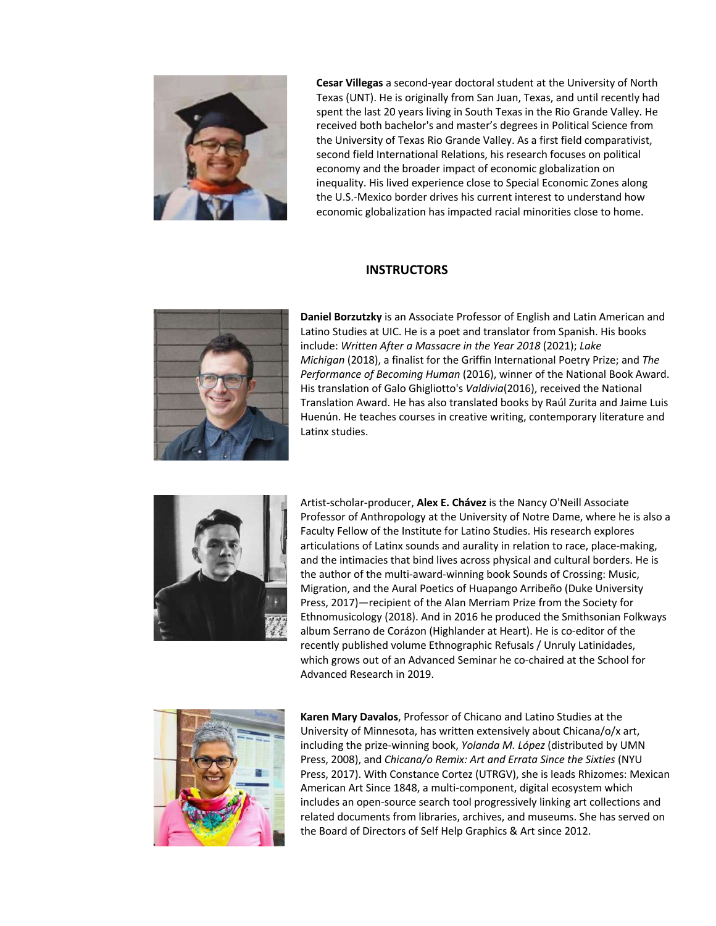

**Cesar Villegas** a second-year doctoral student at the University of North Texas (UNT). He is originally from San Juan, Texas, and until recently had spent the last 20 years living in South Texas in the Rio Grande Valley. He received both bachelor's and master's degrees in Political Science from the University of Texas Rio Grande Valley. As a first field comparativist, second field International Relations, his research focuses on political economy and the broader impact of economic globalization on inequality. His lived experience close to Special Economic Zones along the U.S.-Mexico border drives his current interest to understand how economic globalization has impacted racial minorities close to home.

# **INSTRUCTORS**



**Daniel Borzutzky** is an Associate Professor of English and Latin American and Latino Studies at UIC. He is a poet and translator from Spanish. His books include: *Written After a Massacre in the Year 2018* (2021); *Lake Michigan* (2018), a finalist for the Griffin International Poetry Prize; and *The Performance of Becoming Human* (2016), winner of the National Book Award. His translation of Galo Ghigliotto's *Valdivia*(2016), received the National Translation Award. He has also translated books by Raúl Zurita and Jaime Luis Huenún. He teaches courses in creative writing, contemporary literature and Latinx studies.



Artist-scholar-producer, **Alex E. Chávez** is the Nancy O'Neill Associate Professor of Anthropology at the University of Notre Dame, where he is also a Faculty Fellow of the Institute for Latino Studies. His research explores articulations of Latinx sounds and aurality in relation to race, place-making, and the intimacies that bind lives across physical and cultural borders. He is the author of the multi-award-winning book Sounds of Crossing: Music, Migration, and the Aural Poetics of Huapango Arribeño (Duke University Press, 2017)—recipient of the Alan Merriam Prize from the Society for Ethnomusicology (2018). And in 2016 he produced the Smithsonian Folkways album Serrano de Corázon (Highlander at Heart). He is co-editor of the recently published volume Ethnographic Refusals / Unruly Latinidades, which grows out of an Advanced Seminar he co-chaired at the School for Advanced Research in 2019.



**Karen Mary Davalos**, Professor of Chicano and Latino Studies at the University of Minnesota, has written extensively about Chicana/o/x art, including the prize-winning book, *Yolanda M. López* (distributed by UMN Press, 2008), and *Chicana/o Remix: Art and Errata Since the Sixties* (NYU Press, 2017). With Constance Cortez (UTRGV), she is leads Rhizomes: Mexican American Art Since 1848, a multi-component, digital ecosystem which includes an open-source search tool progressively linking art collections and related documents from libraries, archives, and museums. She has served on the Board of Directors of Self Help Graphics & Art since 2012.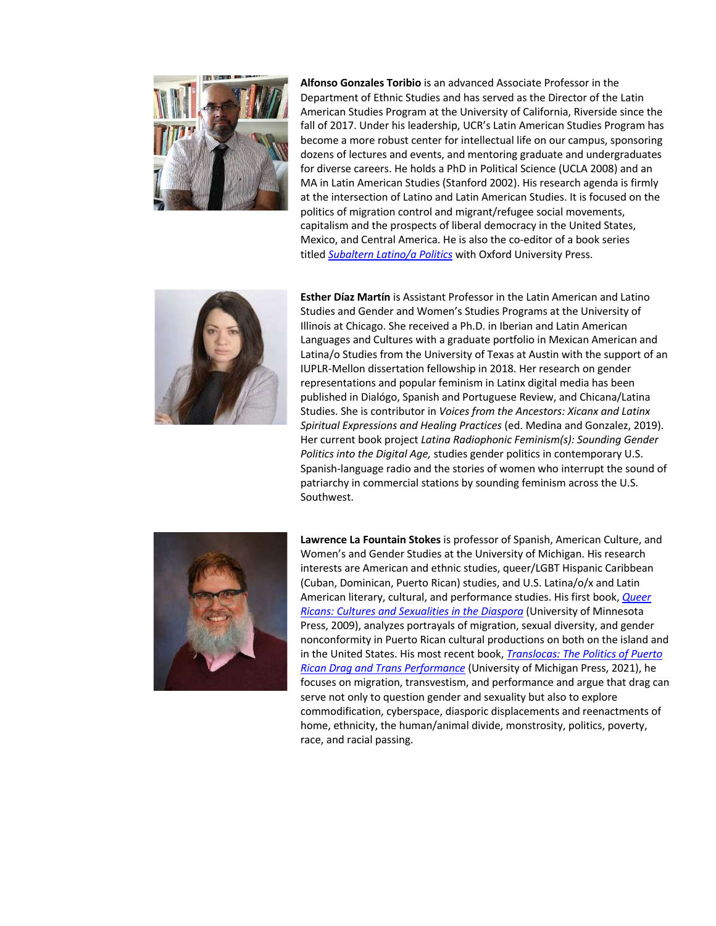

**Alfonso Gonzales Toribio** is an advanced Associate Professor in the Department of Ethnic Studies and has served as the Director of the Latin American Studies Program at the University of California, Riverside since the fall of 2017. Under his leadership, UCR's Latin American Studies Program has become a more robust center for intellectual life on our campus, sponsoring dozens of lectures and events, and mentoring graduate and undergraduates for diverse careers. He holds a PhD in Political Science (UCLA 2008) and an MA in Latin American Studies (Stanford 2002). His research agenda is firmly at the intersection of Latino and Latin American Studies. It is focused on the politics of migration control and migrant/refugee social movements, capitalism and the prospects of liberal democracy in the United States, Mexico, and Central America. He is also the co-editor of a book series titled *Subaltern Latino/a Politics* with Oxford University Press.



**Esther Díaz Martín** is Assistant Professor in the Latin American and Latino Studies and Gender and Women's Studies Programs at the University of Illinois at Chicago. She received a Ph.D. in Iberian and Latin American Languages and Cultures with a graduate portfolio in Mexican American and Latina/o Studies from the University of Texas at Austin with the support of an IUPLR-Mellon dissertation fellowship in 2018. Her research on gender representations and popular feminism in Latinx digital media has been published in Dialógo, Spanish and Portuguese Review, and Chicana/Latina Studies. She is contributor in *Voices from the Ancestors: Xicanx and Latinx Spiritual Expressions and Healing Practices* (ed. Medina and Gonzalez, 2019). Her current book project *Latina Radiophonic Feminism(s): Sounding Gender Politics into the Digital Age,* studies gender politics in contemporary U.S. Spanish-language radio and the stories of women who interrupt the sound of patriarchy in commercial stations by sounding feminism across the U.S. Southwest.



**Lawrence La Fountain Stokes** is professor of Spanish, American Culture, and Women's and Gender Studies at the University of Michigan. His research interests are American and ethnic studies, queer/LGBT Hispanic Caribbean (Cuban, Dominican, Puerto Rican) studies, and U.S. Latina/o/x and Latin American literary, cultural, and performance studies. His first book, *Queer Ricans: Cultures and Sexualities in the Diaspora* (University of Minnesota Press, 2009), analyzes portrayals of migration, sexual diversity, and gender nonconformity in Puerto Rican cultural productions on both on the island and in the United States. His most recent book, *Translocas: The Politics of Puerto Rican Drag and Trans Performance* (University of Michigan Press, 2021), he focuses on migration, transvestism, and performance and argue that drag can serve not only to question gender and sexuality but also to explore commodification, cyberspace, diasporic displacements and reenactments of home, ethnicity, the human/animal divide, monstrosity, politics, poverty, race, and racial passing.